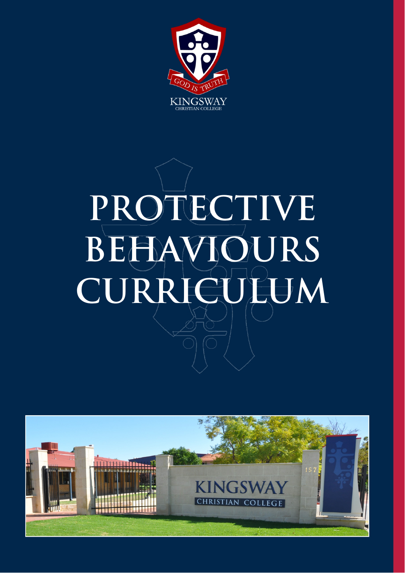

# **PROTECTIVE BEHAVIOURS CURRICULUM**

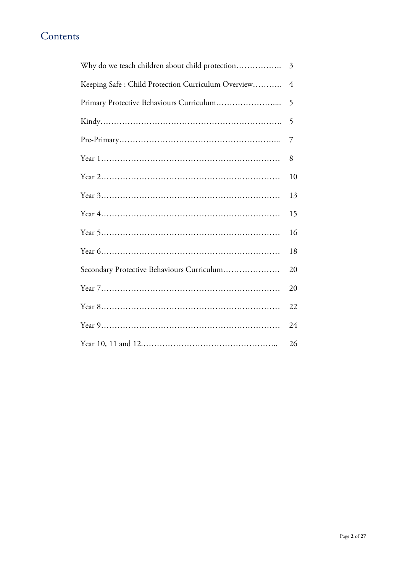#### **Contents**

| Why do we teach children about child protection    | 3  |
|----------------------------------------------------|----|
| Keeping Safe: Child Protection Curriculum Overview | 4  |
|                                                    | 5  |
|                                                    | 5  |
|                                                    | 7  |
|                                                    | 8  |
|                                                    | 10 |
|                                                    | 13 |
|                                                    | 15 |
|                                                    | 16 |
|                                                    | 18 |
| Secondary Protective Behaviours Curriculum         | 20 |
|                                                    | 20 |
|                                                    | 22 |
|                                                    | 24 |
|                                                    | 26 |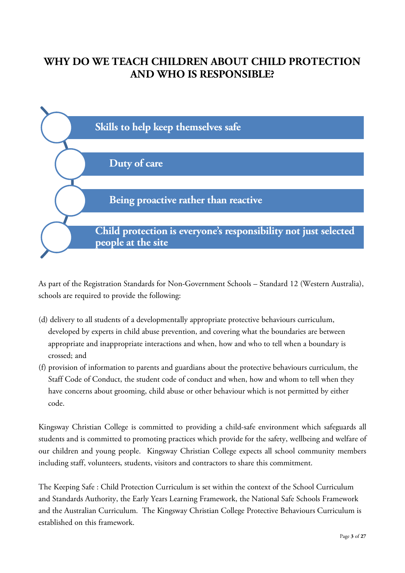#### **WHY DO WE TEACH CHILDREN ABOUT CHILD PROTECTION AND WHO IS RESPONSIBLE?**



As part of the Registration Standards for Non-Government Schools – Standard 12 (Western Australia), schools are required to provide the following:

- (d) delivery to all students of a developmentally appropriate protective behaviours curriculum, developed by experts in child abuse prevention, and covering what the boundaries are between appropriate and inappropriate interactions and when, how and who to tell when a boundary is crossed; and
- (f) provision of information to parents and guardians about the protective behaviours curriculum, the Staff Code of Conduct, the student code of conduct and when, how and whom to tell when they have concerns about grooming, child abuse or other behaviour which is not permitted by either code.

Kingsway Christian College is committed to providing a child-safe environment which safeguards all students and is committed to promoting practices which provide for the safety, wellbeing and welfare of our children and young people. Kingsway Christian College expects all school community members including staff, volunteers, students, visitors and contractors to share this commitment.

The Keeping Safe : Child Protection Curriculum is set within the context of the School Curriculum and Standards Authority, the Early Years Learning Framework, the National Safe Schools Framework and the Australian Curriculum. The Kingsway Christian College Protective Behaviours Curriculum is established on this framework.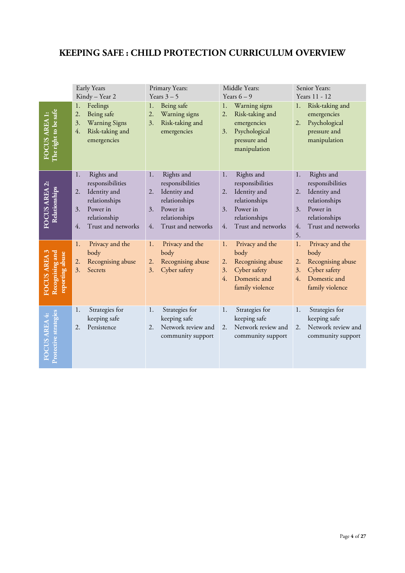#### **KEEPING SAFE : CHILD PROTECTION CURRICULUM OVERVIEW**

|                                                         | Early Years<br>Kindy - Year 2                                                                                                             | Primary Years:<br>Years $3-5$                                                                                                              | Middle Years:<br>Years $6-9$                                                                                                               | Senior Years:<br>Years 11 - 12                                                                                                                   |
|---------------------------------------------------------|-------------------------------------------------------------------------------------------------------------------------------------------|--------------------------------------------------------------------------------------------------------------------------------------------|--------------------------------------------------------------------------------------------------------------------------------------------|--------------------------------------------------------------------------------------------------------------------------------------------------|
| The right to be safe<br>FOCUS AREA 1:                   | Feelings<br>1.<br>$\overline{2}$ .<br>Being safe<br>3.<br><b>Warning Signs</b><br>4.<br>Risk-taking and<br>emergencies                    | Being safe<br>1.<br>2.<br>Warning signs<br>3.<br>Risk-taking and<br>emergencies                                                            | Warning signs<br>1.<br>2.<br>Risk-taking and<br>emergencies<br>Psychological<br>3.<br>pressure and<br>manipulation                         | Risk-taking and<br>1.<br>emergencies<br>Psychological<br>2.<br>pressure and<br>manipulation                                                      |
| FOCUS AREA 2:<br>Relationships                          | Rights and<br>1.<br>responsibilities<br>Identity and<br>2.<br>relationships<br>Power in<br>3.<br>relationship<br>Trust and networks<br>4. | Rights and<br>1.<br>responsibilities<br>Identity and<br>2.<br>relationships<br>Power in<br>3.<br>relationships<br>Trust and networks<br>4. | Rights and<br>1.<br>responsibilities<br>2.<br>Identity and<br>relationships<br>Power in<br>3.<br>relationships<br>Trust and networks<br>4. | Rights and<br>1.<br>responsibilities<br>Identity and<br>2.<br>relationships<br>Power in<br>3.<br>relationships<br>Trust and networks<br>4.<br>5. |
| Recognising and<br>reporting abuse<br><b>FOCUS AREA</b> | Privacy and the<br>1.<br>body<br>Recognising abuse<br>2.<br>3.<br>Secrets                                                                 | Privacy and the<br>1.<br>body<br>Recognising abuse<br>2.<br>Cyber safety<br>3.                                                             | Privacy and the<br>1.<br>body<br>Recognising abuse<br>2.<br>Cyber safety<br>3.<br>4.<br>Domestic and<br>family violence                    | Privacy and the<br>1.<br>body<br>Recognising abuse<br>2.<br>Cyber safety<br>3.<br>Domestic and<br>$\overline{4}$ .<br>family violence            |
| Protective strategies<br><b>FOCUS AREA 4:</b>           | Strategies for<br>1.<br>keeping safe<br>Persistence<br>2.                                                                                 | Strategies for<br>1.<br>keeping safe<br>Network review and<br>2.<br>community support                                                      | Strategies for<br>1.<br>keeping safe<br>Network review and<br>2.<br>community support                                                      | Strategies for<br>1.<br>keeping safe<br>Network review and<br>2.<br>community support                                                            |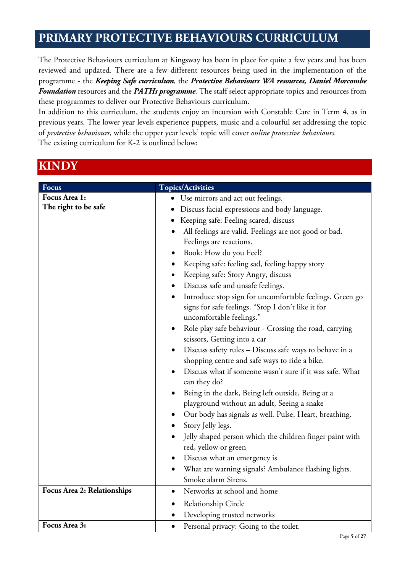#### **PRIMARY PROTECTIVE BEHAVIOURS CURRICULUM**

The Protective Behaviours curriculum at Kingsway has been in place for quite a few years and has been reviewed and updated. There are a few different resources being used in the implementation of the programme - the *Keeping Safe curriculum*, the *Protective Behaviours WA resources, Daniel Morcombe Foundation* resources and the *PATHs programme*. The staff select appropriate topics and resources from these programmes to deliver our Protective Behaviours curriculum.

In addition to this curriculum, the students enjoy an incursion with Constable Care in Term 4, as in previous years. The lower year levels experience puppets, music and a colourful set addressing the topic of *protective behaviours*, while the upper year levels' topic will cover *online protective behaviours.* The existing curriculum for K-2 is outlined below:

| <b>Focus</b>                          | <b>Topics/Activities</b>                                                                                                                                                                                                                                                                                                                                                                                                                                                                                                                                                                                                                                                                                                                                                                                                                                                                  |
|---------------------------------------|-------------------------------------------------------------------------------------------------------------------------------------------------------------------------------------------------------------------------------------------------------------------------------------------------------------------------------------------------------------------------------------------------------------------------------------------------------------------------------------------------------------------------------------------------------------------------------------------------------------------------------------------------------------------------------------------------------------------------------------------------------------------------------------------------------------------------------------------------------------------------------------------|
| Focus Area 1:<br>The right to be safe | • Use mirrors and act out feelings.<br>Discuss facial expressions and body language.<br>Keeping safe: Feeling scared, discuss<br>All feelings are valid. Feelings are not good or bad.<br>Feelings are reactions.<br>Book: How do you Feel?<br>Keeping safe: feeling sad, feeling happy story<br>Keeping safe: Story Angry, discuss<br>٠<br>Discuss safe and unsafe feelings.<br>Introduce stop sign for uncomfortable feelings. Green go<br>signs for safe feelings. "Stop I don't like it for<br>uncomfortable feelings."<br>Role play safe behaviour - Crossing the road, carrying<br>$\bullet$<br>scissors, Getting into a car<br>Discuss safety rules - Discuss safe ways to behave in a<br>٠<br>shopping centre and safe ways to ride a bike.<br>Discuss what if someone wasn't sure if it was safe. What<br>can they do?<br>Being in the dark, Being left outside, Being at a<br>٠ |
|                                       | playground without an adult, Seeing a snake<br>Our body has signals as well. Pulse, Heart, breathing.<br>Story Jelly legs.                                                                                                                                                                                                                                                                                                                                                                                                                                                                                                                                                                                                                                                                                                                                                                |
|                                       | Jelly shaped person which the children finger paint with<br>red, yellow or green<br>Discuss what an emergency is                                                                                                                                                                                                                                                                                                                                                                                                                                                                                                                                                                                                                                                                                                                                                                          |
|                                       | What are warning signals? Ambulance flashing lights.<br>Smoke alarm Sirens.                                                                                                                                                                                                                                                                                                                                                                                                                                                                                                                                                                                                                                                                                                                                                                                                               |
| <b>Focus Area 2: Relationships</b>    | Networks at school and home<br>$\bullet$                                                                                                                                                                                                                                                                                                                                                                                                                                                                                                                                                                                                                                                                                                                                                                                                                                                  |
|                                       | Relationship Circle<br>Developing trusted networks                                                                                                                                                                                                                                                                                                                                                                                                                                                                                                                                                                                                                                                                                                                                                                                                                                        |
| Focus Area 3:                         | Personal privacy: Going to the toilet.                                                                                                                                                                                                                                                                                                                                                                                                                                                                                                                                                                                                                                                                                                                                                                                                                                                    |

#### **KINDY**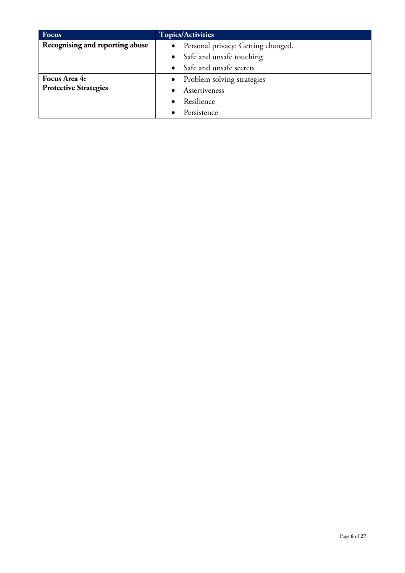| Focus                           | <b>Topics/Activities</b>                        |
|---------------------------------|-------------------------------------------------|
| Recognising and reporting abuse | Personal privacy: Getting changed.<br>$\bullet$ |
|                                 | Safe and unsafe touching                        |
|                                 | Safe and unsafe secrets                         |
| Focus Area 4:                   | • Problem solving strategies                    |
| <b>Protective Strategies</b>    | Assertiveness                                   |
|                                 | Resilience                                      |
|                                 | Persistence                                     |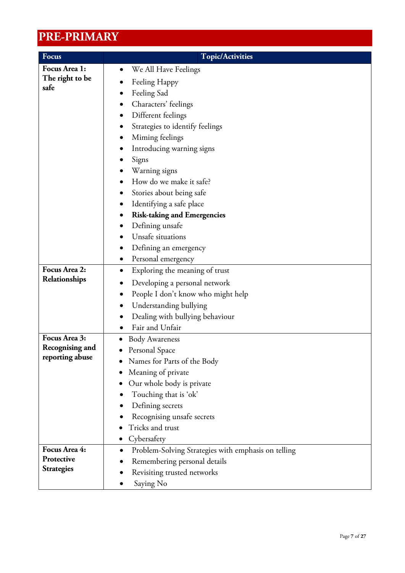## **PRE-PRIMARY**

| Focus                              | <b>Topic/Activities</b>                                          |
|------------------------------------|------------------------------------------------------------------|
| Focus Area 1:                      | We All Have Feelings<br>$\bullet$                                |
| The right to be                    | Feeling Happy                                                    |
| safe                               | Feeling Sad                                                      |
|                                    | Characters' feelings                                             |
|                                    | Different feelings<br>$\bullet$                                  |
|                                    | Strategies to identify feelings                                  |
|                                    | Miming feelings                                                  |
|                                    | Introducing warning signs                                        |
|                                    | Signs                                                            |
|                                    | Warning signs                                                    |
|                                    | How do we make it safe?                                          |
|                                    | Stories about being safe                                         |
|                                    | Identifying a safe place                                         |
|                                    | <b>Risk-taking and Emergencies</b>                               |
|                                    | Defining unsafe                                                  |
|                                    | Unsafe situations                                                |
|                                    | Defining an emergency                                            |
|                                    | Personal emergency                                               |
| Focus Area 2:                      | Exploring the meaning of trust<br>$\bullet$                      |
| Relationships                      | Developing a personal network                                    |
|                                    | People I don't know who might help<br>$\bullet$                  |
|                                    | Understanding bullying                                           |
|                                    | Dealing with bullying behaviour                                  |
|                                    | Fair and Unfair                                                  |
| Focus Area 3:                      | <b>Body Awareness</b>                                            |
| Recognising and<br>reporting abuse | Personal Space                                                   |
|                                    | Names for Parts of the Body                                      |
|                                    | Meaning of private<br>$\bullet$                                  |
|                                    | Our whole body is private                                        |
|                                    | Touching that is 'ok'                                            |
|                                    | Defining secrets                                                 |
|                                    | Recognising unsafe secrets                                       |
|                                    | Tricks and trust                                                 |
|                                    | Cybersafety                                                      |
| Focus Area 4:<br>Protective        | Problem-Solving Strategies with emphasis on telling<br>$\bullet$ |
| <b>Strategies</b>                  | Remembering personal details                                     |
|                                    | Revisiting trusted networks                                      |
|                                    | Saying No                                                        |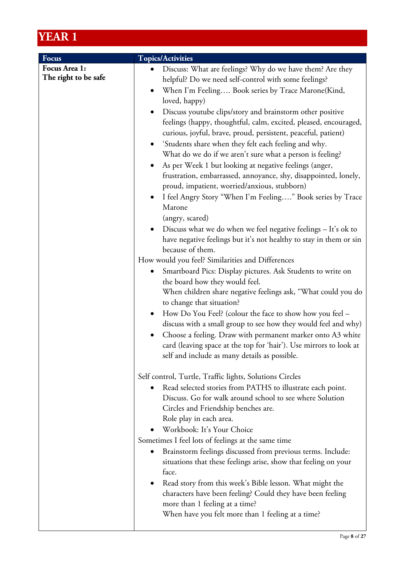| Focus                | <b>Topics/Activities</b>                                                                                                                                                                                                                                                                                                     |
|----------------------|------------------------------------------------------------------------------------------------------------------------------------------------------------------------------------------------------------------------------------------------------------------------------------------------------------------------------|
| Focus Area 1:        | Discuss: What are feelings? Why do we have them? Are they                                                                                                                                                                                                                                                                    |
| The right to be safe | helpful? Do we need self-control with some feelings?                                                                                                                                                                                                                                                                         |
|                      | When I'm Feeling Book series by Trace Marone (Kind,                                                                                                                                                                                                                                                                          |
|                      | loved, happy)                                                                                                                                                                                                                                                                                                                |
|                      | Discuss youtube clips/story and brainstorm other positive<br>feelings (happy, thoughtful, calm, excited, pleased, encouraged,<br>curious, joyful, brave, proud, persistent, peaceful, patient)                                                                                                                               |
|                      | 'Students share when they felt each feeling and why.<br>What do we do if we aren't sure what a person is feeling?                                                                                                                                                                                                            |
|                      | As per Week 1 but looking at negative feelings (anger,                                                                                                                                                                                                                                                                       |
|                      | frustration, embarrassed, annoyance, shy, disappointed, lonely,<br>proud, impatient, worried/anxious, stubborn)                                                                                                                                                                                                              |
|                      | I feel Angry Story "When I'm Feeling" Book series by Trace                                                                                                                                                                                                                                                                   |
|                      | Marone                                                                                                                                                                                                                                                                                                                       |
|                      | (angry, scared)                                                                                                                                                                                                                                                                                                              |
|                      | Discuss what we do when we feel negative feelings $-$ It's ok to<br>have negative feelings but it's not healthy to stay in them or sin                                                                                                                                                                                       |
|                      | because of them.                                                                                                                                                                                                                                                                                                             |
|                      | How would you feel? Similarities and Differences                                                                                                                                                                                                                                                                             |
|                      | Smartboard Pics: Display pictures. Ask Students to write on                                                                                                                                                                                                                                                                  |
|                      | the board how they would feel.                                                                                                                                                                                                                                                                                               |
|                      | When children share negative feelings ask, "What could you do<br>to change that situation?                                                                                                                                                                                                                                   |
|                      | How Do You Feel? (colour the face to show how you feel –<br>discuss with a small group to see how they would feel and why)<br>Choose a feeling. Draw with permanent marker onto A3 white<br>$\bullet$<br>card (leaving space at the top for 'hair'). Use mirrors to look at<br>self and include as many details as possible. |
|                      |                                                                                                                                                                                                                                                                                                                              |
|                      | Self control, Turtle, Traffic lights, Solutions Circles                                                                                                                                                                                                                                                                      |
|                      | Read selected stories from PATHS to illustrate each point.<br>Discuss. Go for walk around school to see where Solution                                                                                                                                                                                                       |
|                      | Circles and Friendship benches are.                                                                                                                                                                                                                                                                                          |
|                      | Role play in each area.                                                                                                                                                                                                                                                                                                      |
|                      | Workbook: It's Your Choice                                                                                                                                                                                                                                                                                                   |
|                      | Sometimes I feel lots of feelings at the same time                                                                                                                                                                                                                                                                           |
|                      | Brainstorm feelings discussed from previous terms. Include:                                                                                                                                                                                                                                                                  |
|                      | situations that these feelings arise, show that feeling on your<br>face.                                                                                                                                                                                                                                                     |
|                      | Read story from this week's Bible lesson. What might the                                                                                                                                                                                                                                                                     |
|                      | characters have been feeling? Could they have been feeling                                                                                                                                                                                                                                                                   |
|                      | more than 1 feeling at a time?                                                                                                                                                                                                                                                                                               |
|                      | When have you felt more than 1 feeling at a time?                                                                                                                                                                                                                                                                            |
|                      |                                                                                                                                                                                                                                                                                                                              |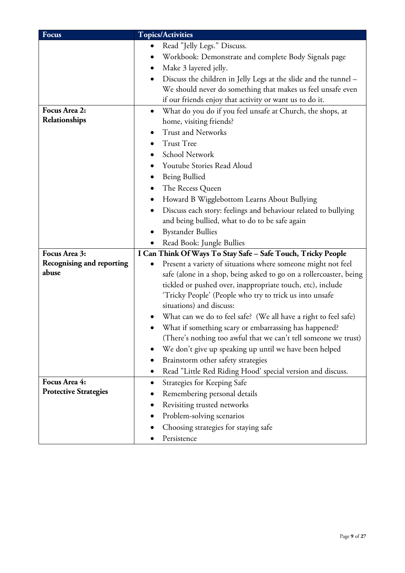| <b>Focus</b>                     | <b>Topics/Activities</b>                                            |
|----------------------------------|---------------------------------------------------------------------|
|                                  | Read "Jelly Legs." Discuss.                                         |
|                                  | Workbook: Demonstrate and complete Body Signals page                |
|                                  | Make 3 layered jelly.<br>$\bullet$                                  |
|                                  | Discuss the children in Jelly Legs at the slide and the tunnel -    |
|                                  | We should never do something that makes us feel unsafe even         |
|                                  | if our friends enjoy that activity or want us to do it.             |
| Focus Area 2:                    | What do you do if you feel unsafe at Church, the shops, at<br>٠     |
| Relationships                    | home, visiting friends?                                             |
|                                  | <b>Trust and Networks</b>                                           |
|                                  | <b>Trust Tree</b>                                                   |
|                                  | School Network<br>$\bullet$                                         |
|                                  | Youtube Stories Read Aloud                                          |
|                                  | Being Bullied                                                       |
|                                  | The Recess Queen                                                    |
|                                  | Howard B Wigglebottom Learns About Bullying<br>$\bullet$            |
|                                  | Discuss each story: feelings and behaviour related to bullying<br>٠ |
|                                  | and being bullied, what to do to be safe again                      |
|                                  | <b>Bystander Bullies</b>                                            |
|                                  | Read Book: Jungle Bullies                                           |
| Focus Area 3:                    | I Can Think Of Ways To Stay Safe - Safe Touch, Tricky People        |
| <b>Recognising and reporting</b> | Present a variety of situations where someone might not feel        |
| abuse                            | safe (alone in a shop, being asked to go on a rollercoaster, being  |
|                                  | tickled or pushed over, inappropriate touch, etc), include          |
|                                  | 'Tricky People' (People who try to trick us into unsafe             |
|                                  | situations) and discuss:                                            |
|                                  | What can we do to feel safe? (We all have a right to feel safe)     |
|                                  | What if something scary or embarrassing has happened?               |
|                                  | (There's nothing too awful that we can't tell someone we trust)     |
|                                  | We don't give up speaking up until we have been helped              |
|                                  | Brainstorm other safety strategies                                  |
|                                  | Read "Little Red Riding Hood' special version and discuss.          |
| Focus Area 4:                    | Strategies for Keeping Safe<br>$\bullet$                            |
| <b>Protective Strategies</b>     | Remembering personal details                                        |
|                                  | Revisiting trusted networks                                         |
|                                  | Problem-solving scenarios                                           |
|                                  | Choosing strategies for staying safe                                |
|                                  | Persistence                                                         |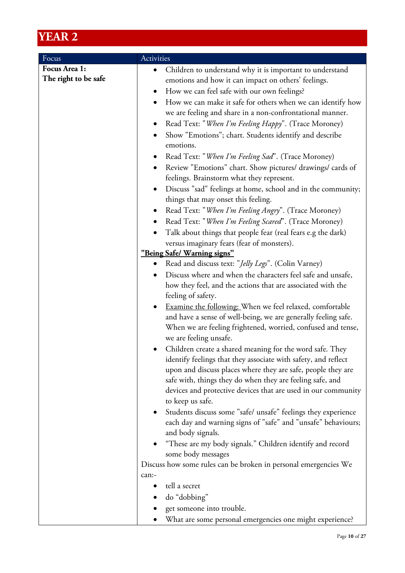| Activities                                                                 |
|----------------------------------------------------------------------------|
| Children to understand why it is important to understand<br>$\bullet$      |
| emotions and how it can impact on others' feelings.                        |
| How we can feel safe with our own feelings?<br>$\bullet$                   |
| How we can make it safe for others when we can identify how<br>٠           |
| we are feeling and share in a non-confrontational manner.                  |
| Read Text: "When I'm Feeling Happy". (Trace Moroney)<br>$\bullet$          |
| Show "Emotions"; chart. Students identify and describe<br>٠                |
| emotions.                                                                  |
| Read Text: "When I'm Feeling Sad". (Trace Moroney)<br>$\bullet$            |
| Review "Emotions" chart. Show pictures/ drawings/ cards of<br>$\bullet$    |
| feelings. Brainstorm what they represent.                                  |
| Discuss "sad" feelings at home, school and in the community;<br>$\bullet$  |
| things that may onset this feeling.                                        |
| Read Text: "When I'm Feeling Angry". (Trace Moroney)                       |
| Read Text: "When I'm Feeling Scared". (Trace Moroney)<br>$\bullet$         |
| Talk about things that people fear (real fears e.g the dark)<br>$\bullet$  |
| versus imaginary fears (fear of monsters).                                 |
| "Being Safe/ Warning signs"                                                |
| Read and discuss text: "Jelly Legs". (Colin Varney)<br>$\bullet$           |
| Discuss where and when the characters feel safe and unsafe,                |
| how they feel, and the actions that are associated with the                |
| feeling of safety.                                                         |
| Examine the following: When we feel relaxed, comfortable<br>$\bullet$      |
| and have a sense of well-being, we are generally feeling safe.             |
| When we are feeling frightened, worried, confused and tense,               |
| we are feeling unsafe.                                                     |
| Children create a shared meaning for the word safe. They                   |
| identify feelings that they associate with safety, and reflect             |
| upon and discuss places where they are safe, people they are               |
| safe with, things they do when they are feeling safe, and                  |
| devices and protective devices that are used in our community              |
| to keep us safe.                                                           |
| Students discuss some "safe/ unsafe" feelings they experience<br>$\bullet$ |
| each day and warning signs of "safe" and "unsafe" behaviours;              |
| and body signals.                                                          |
| "These are my body signals." Children identify and record                  |
| some body messages                                                         |
| Discuss how some rules can be broken in personal emergencies We            |
| can:-<br>tell a secret                                                     |
| do "dobbing"                                                               |
| get someone into trouble.                                                  |
| What are some personal emergencies one might experience?                   |
|                                                                            |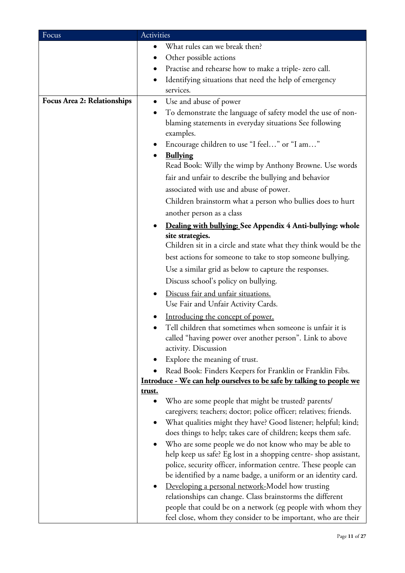| Focus                              | Activities                                                                                                                                        |
|------------------------------------|---------------------------------------------------------------------------------------------------------------------------------------------------|
|                                    | What rules can we break then?<br>$\bullet$                                                                                                        |
|                                    | Other possible actions                                                                                                                            |
|                                    | Practise and rehearse how to make a triple-zero call.                                                                                             |
|                                    | Identifying situations that need the help of emergency<br>$\bullet$                                                                               |
|                                    | services.                                                                                                                                         |
| <b>Focus Area 2: Relationships</b> | Use and abuse of power<br>$\bullet$                                                                                                               |
|                                    | To demonstrate the language of safety model the use of non-<br>$\bullet$<br>blaming statements in everyday situations See following<br>examples.  |
|                                    | Encourage children to use "I feel" or "I am"                                                                                                      |
|                                    | <b>Bullying</b><br>Read Book: Willy the wimp by Anthony Browne. Use words                                                                         |
|                                    | fair and unfair to describe the bullying and behavior                                                                                             |
|                                    | associated with use and abuse of power.                                                                                                           |
|                                    | Children brainstorm what a person who bullies does to hurt                                                                                        |
|                                    | another person as a class                                                                                                                         |
|                                    | Dealing with bullying: See Appendix 4 Anti-bullying: whole                                                                                        |
|                                    | site strategies.<br>Children sit in a circle and state what they think would be the<br>best actions for someone to take to stop someone bullying. |
|                                    | Use a similar grid as below to capture the responses.                                                                                             |
|                                    | Discuss school's policy on bullying.                                                                                                              |
|                                    | Discuss fair and unfair situations.<br>$\bullet$                                                                                                  |
|                                    | Use Fair and Unfair Activity Cards.                                                                                                               |
|                                    | Introducing the concept of power.                                                                                                                 |
|                                    | Tell children that sometimes when someone is unfair it is                                                                                         |
|                                    | called "having power over another person". Link to above                                                                                          |
|                                    | activity. Discussion                                                                                                                              |
|                                    | Explore the meaning of trust.                                                                                                                     |
|                                    | Read Book: Finders Keepers for Franklin or Franklin Fibs.                                                                                         |
|                                    | Introduce - We can help ourselves to be safe by talking to people we                                                                              |
|                                    | <u>trust.</u>                                                                                                                                     |
|                                    | Who are some people that might be trusted? parents/<br>٠<br>caregivers; teachers; doctor; police officer; relatives; friends.                     |
|                                    | What qualities might they have? Good listener; helpful; kind;<br>$\bullet$                                                                        |
|                                    | does things to help; takes care of children; keeps them safe.                                                                                     |
|                                    | Who are some people we do not know who may be able to<br>$\bullet$                                                                                |
|                                    | help keep us safe? Eg lost in a shopping centre- shop assistant,                                                                                  |
|                                    | police, security officer, information centre. These people can                                                                                    |
|                                    | be identified by a name badge, a uniform or an identity card.                                                                                     |
|                                    | Developing a personal network-Model how trusting<br>$\bullet$                                                                                     |
|                                    | relationships can change. Class brainstorms the different                                                                                         |
|                                    | people that could be on a network (eg people with whom they                                                                                       |
|                                    | feel close, whom they consider to be important, who are their                                                                                     |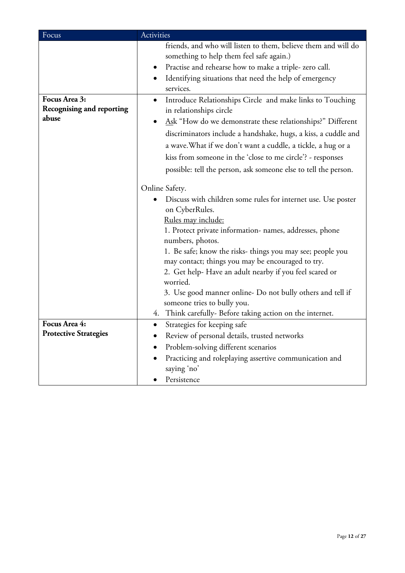| Focus                            | Activities                                                                                                 |
|----------------------------------|------------------------------------------------------------------------------------------------------------|
|                                  | friends, and who will listen to them, believe them and will do<br>something to help them feel safe again.) |
|                                  | Practise and rehearse how to make a triple-zero call.                                                      |
|                                  | Identifying situations that need the help of emergency<br>$\bullet$                                        |
|                                  | services.                                                                                                  |
| Focus Area 3:                    | Introduce Relationships Circle and make links to Touching<br>$\bullet$                                     |
| <b>Recognising and reporting</b> | in relationships circle                                                                                    |
| abuse                            | Ask "How do we demonstrate these relationships?" Different                                                 |
|                                  | discriminators include a handshake, hugs, a kiss, a cuddle and                                             |
|                                  | a wave. What if we don't want a cuddle, a tickle, a hug or a                                               |
|                                  | kiss from someone in the 'close to me circle'? - responses                                                 |
|                                  | possible: tell the person, ask someone else to tell the person.                                            |
|                                  |                                                                                                            |
|                                  | Online Safety.                                                                                             |
|                                  | Discuss with children some rules for internet use. Use poster                                              |
|                                  | on CyberRules.                                                                                             |
|                                  | Rules may include:                                                                                         |
|                                  | 1. Protect private information- names, addresses, phone<br>numbers, photos.                                |
|                                  | 1. Be safe; know the risks- things you may see; people you                                                 |
|                                  | may contact; things you may be encouraged to try.                                                          |
|                                  | 2. Get help-Have an adult nearby if you feel scared or                                                     |
|                                  | worried.                                                                                                   |
|                                  | 3. Use good manner online- Do not bully others and tell if                                                 |
|                                  | someone tries to bully you.                                                                                |
|                                  | Think carefully- Before taking action on the internet.<br>4.                                               |
| Focus Area 4:                    | Strategies for keeping safe<br>$\bullet$                                                                   |
| <b>Protective Strategies</b>     | Review of personal details, trusted networks                                                               |
|                                  | Problem-solving different scenarios                                                                        |
|                                  | Practicing and roleplaying assertive communication and<br>saying 'no'                                      |
|                                  | Persistence                                                                                                |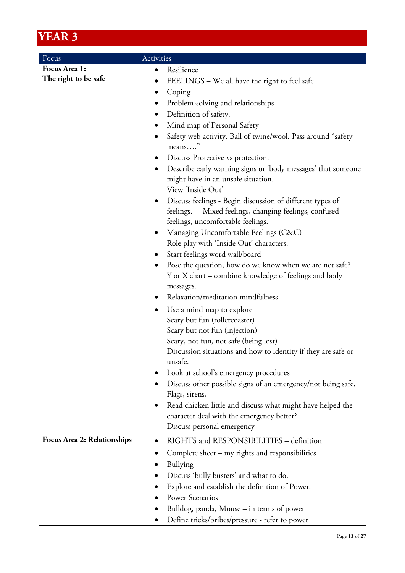| Focus                              | Activities                                                             |
|------------------------------------|------------------------------------------------------------------------|
| Focus Area 1:                      | Resilience                                                             |
| The right to be safe               | FEELINGS - We all have the right to feel safe                          |
|                                    | Coping                                                                 |
|                                    | Problem-solving and relationships                                      |
|                                    | Definition of safety.                                                  |
|                                    |                                                                        |
|                                    | Mind map of Personal Safety<br>$\bullet$                               |
|                                    | Safety web activity. Ball of twine/wool. Pass around "safety<br>means" |
|                                    | Discuss Protective vs protection.<br>$\bullet$                         |
|                                    | Describe early warning signs or 'body messages' that someone           |
|                                    | might have in an unsafe situation.                                     |
|                                    | View 'Inside Out'                                                      |
|                                    | Discuss feelings - Begin discussion of different types of<br>$\bullet$ |
|                                    | feelings. - Mixed feelings, changing feelings, confused                |
|                                    | feelings, uncomfortable feelings.                                      |
|                                    | Managing Uncomfortable Feelings (C&C)<br>$\bullet$                     |
|                                    | Role play with 'Inside Out' characters.                                |
|                                    | Start feelings word wall/board<br>$\bullet$                            |
|                                    | Pose the question, how do we know when we are not safe?<br>$\bullet$   |
|                                    | Y or X chart – combine knowledge of feelings and body                  |
|                                    | messages.                                                              |
|                                    | Relaxation/meditation mindfulness                                      |
|                                    | Use a mind map to explore                                              |
|                                    | Scary but fun (rollercoaster)                                          |
|                                    | Scary but not fun (injection)                                          |
|                                    | Scary, not fun, not safe (being lost)                                  |
|                                    | Discussion situations and how to identity if they are safe or          |
|                                    | unsafe.                                                                |
|                                    | Look at school's emergency procedures                                  |
|                                    | Discuss other possible signs of an emergency/not being safe.           |
|                                    | Flags, sirens,                                                         |
|                                    | Read chicken little and discuss what might have helped the             |
|                                    | character deal with the emergency better?                              |
|                                    | Discuss personal emergency                                             |
| <b>Focus Area 2: Relationships</b> | RIGHTS and RESPONSIBILITIES - definition<br>$\bullet$                  |
|                                    | Complete sheet – my rights and responsibilities                        |
|                                    | <b>Bullying</b>                                                        |
|                                    | Discuss 'bully busters' and what to do.                                |
|                                    | Explore and establish the definition of Power.                         |
|                                    | <b>Power Scenarios</b>                                                 |
|                                    |                                                                        |
|                                    | Bulldog, panda, Mouse - in terms of power                              |
|                                    | Define tricks/bribes/pressure - refer to power                         |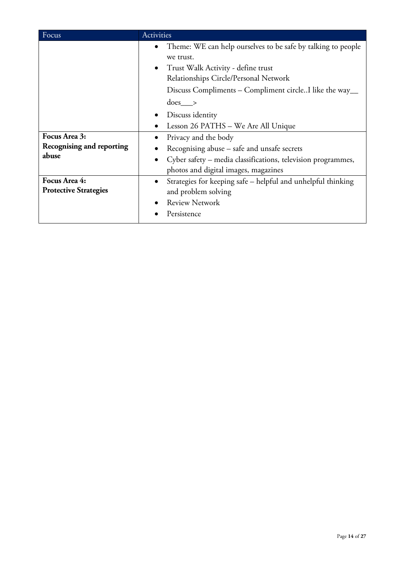| Focus                                               | <b>Activities</b>                                                                                                                                                                                                                                                                                                                                                                                                                                                                                                      |
|-----------------------------------------------------|------------------------------------------------------------------------------------------------------------------------------------------------------------------------------------------------------------------------------------------------------------------------------------------------------------------------------------------------------------------------------------------------------------------------------------------------------------------------------------------------------------------------|
| Focus Area 3:<br>Recognising and reporting<br>abuse | Theme: WE can help ourselves to be safe by talking to people<br>$\bullet$<br>we trust.<br>Trust Walk Activity - define trust<br>$\bullet$<br>Relationships Circle/Personal Network<br>Discuss Compliments – Compliment circle. I like the way__<br>$does \_\_\$<br>Discuss identity<br>$\bullet$<br>Lesson 26 PATHS - We Are All Unique<br>Privacy and the body<br>Recognising abuse – safe and unsafe secrets<br>Cyber safety – media classifications, television programmes,<br>photos and digital images, magazines |
| Focus Area 4:<br><b>Protective Strategies</b>       | Strategies for keeping safe – helpful and unhelpful thinking<br>$\bullet$<br>and problem solving<br><b>Review Network</b><br>Persistence                                                                                                                                                                                                                                                                                                                                                                               |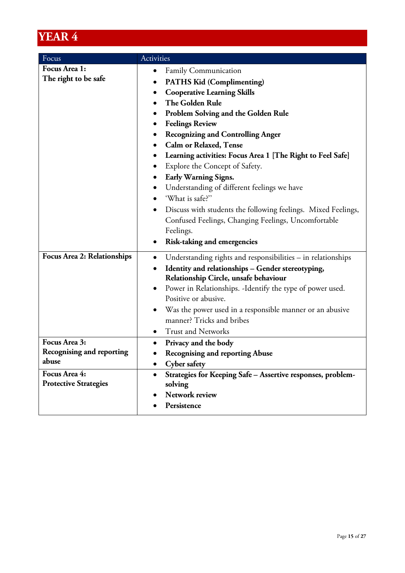| Focus                                                      | Activities                                                                                                                                                                                                                                                                                                                                                                                                                                                                                                                                                                                                                                             |  |
|------------------------------------------------------------|--------------------------------------------------------------------------------------------------------------------------------------------------------------------------------------------------------------------------------------------------------------------------------------------------------------------------------------------------------------------------------------------------------------------------------------------------------------------------------------------------------------------------------------------------------------------------------------------------------------------------------------------------------|--|
| Focus Area 1:<br>The right to be safe                      | Family Communication<br>$\bullet$<br><b>PATHS Kid (Complimenting)</b><br>٠<br><b>Cooperative Learning Skills</b><br>The Golden Rule<br><b>Problem Solving and the Golden Rule</b><br><b>Feelings Review</b><br>$\bullet$<br><b>Recognizing and Controlling Anger</b><br>$\bullet$<br><b>Calm or Relaxed, Tense</b><br>Learning activities: Focus Area 1 [The Right to Feel Safe]<br>Explore the Concept of Safety.<br>Early Warning Signs.<br>Understanding of different feelings we have<br>$\bullet$<br>'What is safe?"<br>Discuss with students the following feelings. Mixed Feelings,<br>٠<br>Confused Feelings, Changing Feelings, Uncomfortable |  |
|                                                            | Feelings.<br><b>Risk-taking and emergencies</b><br>$\bullet$                                                                                                                                                                                                                                                                                                                                                                                                                                                                                                                                                                                           |  |
| <b>Focus Area 2: Relationships</b>                         | Understanding rights and responsibilities - in relationships<br>$\bullet$<br>Identity and relationships - Gender stereotyping,<br>$\bullet$<br>Relationship Circle, unsafe behaviour<br>Power in Relationships. - Identify the type of power used.<br>Positive or abusive.<br>Was the power used in a responsible manner or an abusive<br>$\bullet$<br>manner? Tricks and bribes<br><b>Trust and Networks</b>                                                                                                                                                                                                                                          |  |
| Focus Area 3:<br><b>Recognising and reporting</b><br>abuse | Privacy and the body<br>$\bullet$<br>Recognising and reporting Abuse<br><b>Cyber safety</b><br>٠                                                                                                                                                                                                                                                                                                                                                                                                                                                                                                                                                       |  |
| Focus Area 4:<br><b>Protective Strategies</b>              | Strategies for Keeping Safe - Assertive responses, problem-<br>$\bullet$<br>solving<br>Network review<br>Persistence                                                                                                                                                                                                                                                                                                                                                                                                                                                                                                                                   |  |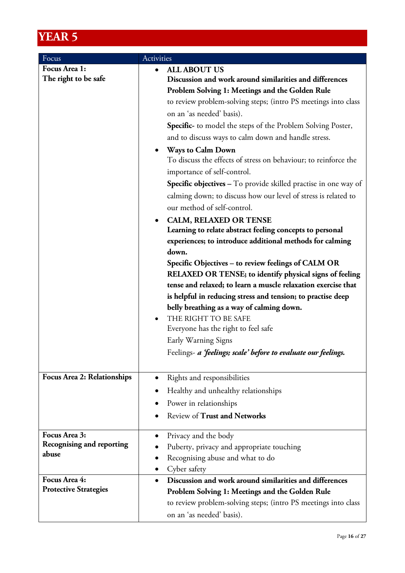| Focus                                     | Activities                                                                                               |  |  |
|-------------------------------------------|----------------------------------------------------------------------------------------------------------|--|--|
| Focus Area 1:                             | <b>ALL ABOUT US</b><br>$\bullet$                                                                         |  |  |
| The right to be safe                      | Discussion and work around similarities and differences                                                  |  |  |
|                                           | Problem Solving 1: Meetings and the Golden Rule                                                          |  |  |
|                                           | to review problem-solving steps; (intro PS meetings into class                                           |  |  |
|                                           | on an 'as needed' basis).                                                                                |  |  |
|                                           | <b>Specific-</b> to model the steps of the Problem Solving Poster,                                       |  |  |
|                                           | and to discuss ways to calm down and handle stress.                                                      |  |  |
|                                           | <b>Ways to Calm Down</b><br>$\bullet$                                                                    |  |  |
|                                           | To discuss the effects of stress on behaviour; to reinforce the                                          |  |  |
|                                           | importance of self-control.                                                                              |  |  |
|                                           | <b>Specific objectives -</b> To provide skilled practise in one way of                                   |  |  |
|                                           | calming down; to discuss how our level of stress is related to                                           |  |  |
|                                           | our method of self-control.                                                                              |  |  |
|                                           | <b>CALM, RELAXED OR TENSE</b>                                                                            |  |  |
|                                           | Learning to relate abstract feeling concepts to personal                                                 |  |  |
|                                           | experiences; to introduce additional methods for calming                                                 |  |  |
|                                           | down.                                                                                                    |  |  |
|                                           | Specific Objectives - to review feelings of CALM OR                                                      |  |  |
|                                           | RELAXED OR TENSE; to identify physical signs of feeling                                                  |  |  |
|                                           | tense and relaxed; to learn a muscle relaxation exercise that                                            |  |  |
|                                           | is helpful in reducing stress and tension; to practise deep<br>belly breathing as a way of calming down. |  |  |
|                                           | THE RIGHT TO BE SAFE<br>$\bullet$                                                                        |  |  |
|                                           | Everyone has the right to feel safe                                                                      |  |  |
|                                           | Early Warning Signs                                                                                      |  |  |
|                                           | Feelings- a <i>feelings</i> ; scale' before to evaluate our feelings.                                    |  |  |
|                                           |                                                                                                          |  |  |
| Focus Area 2: Relationships               | Rights and responsibilities                                                                              |  |  |
|                                           | Healthy and unhealthy relationships                                                                      |  |  |
|                                           | Power in relationships                                                                                   |  |  |
|                                           | <b>Review of Trust and Networks</b>                                                                      |  |  |
|                                           |                                                                                                          |  |  |
| Focus Area 3:                             | Privacy and the body<br>$\bullet$                                                                        |  |  |
| <b>Recognising and reporting</b><br>abuse | Puberty, privacy and appropriate touching                                                                |  |  |
|                                           | Recognising abuse and what to do                                                                         |  |  |
|                                           | Cyber safety                                                                                             |  |  |
| Focus Area 4:                             | Discussion and work around similarities and differences<br>$\bullet$                                     |  |  |
| <b>Protective Strategies</b>              | Problem Solving 1: Meetings and the Golden Rule                                                          |  |  |
|                                           | to review problem-solving steps; (intro PS meetings into class                                           |  |  |
|                                           | on an 'as needed' basis).                                                                                |  |  |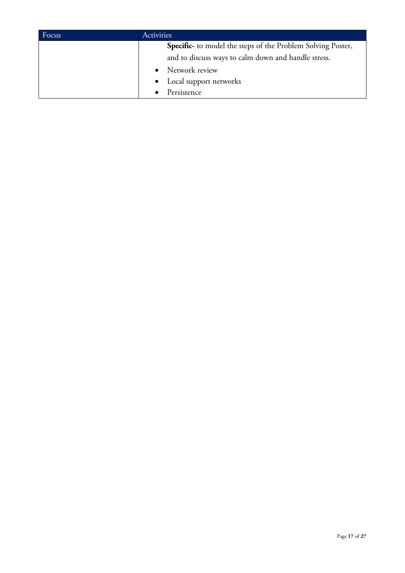| Focus | Activities                                                         |  |
|-------|--------------------------------------------------------------------|--|
|       | <b>Specific-</b> to model the steps of the Problem Solving Poster, |  |
|       | and to discuss ways to calm down and handle stress.                |  |
|       | • Network review                                                   |  |
|       | • Local support networks                                           |  |
|       | Persistence                                                        |  |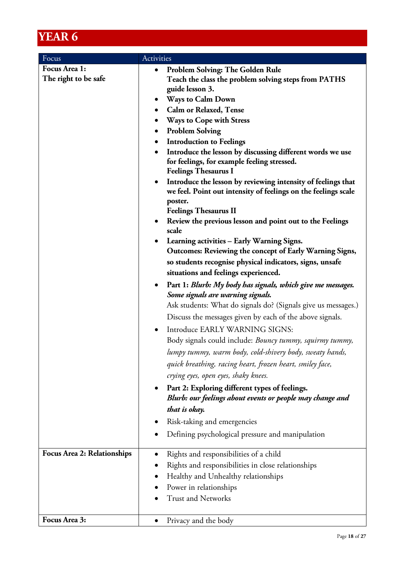| Focus                              | Activities                                                                                                               |  |  |
|------------------------------------|--------------------------------------------------------------------------------------------------------------------------|--|--|
| Focus Area 1:                      | <b>Problem Solving: The Golden Rule</b><br>$\bullet$                                                                     |  |  |
| The right to be safe               | Teach the class the problem solving steps from PATHS                                                                     |  |  |
|                                    | guide lesson 3.                                                                                                          |  |  |
|                                    | Ways to Calm Down<br>$\bullet$                                                                                           |  |  |
|                                    | <b>Calm or Relaxed, Tense</b>                                                                                            |  |  |
|                                    | <b>Ways to Cope with Stress</b>                                                                                          |  |  |
|                                    | <b>Problem Solving</b><br>$\bullet$                                                                                      |  |  |
|                                    | <b>Introduction to Feelings</b>                                                                                          |  |  |
|                                    | Introduce the lesson by discussing different words we use<br>$\bullet$                                                   |  |  |
|                                    | for feelings, for example feeling stressed.<br><b>Feelings Thesaurus I</b>                                               |  |  |
|                                    | Introduce the lesson by reviewing intensity of feelings that                                                             |  |  |
|                                    | we feel. Point out intensity of feelings on the feelings scale                                                           |  |  |
|                                    | poster.                                                                                                                  |  |  |
|                                    | <b>Feelings Thesaurus II</b>                                                                                             |  |  |
|                                    | Review the previous lesson and point out to the Feelings                                                                 |  |  |
|                                    | scale                                                                                                                    |  |  |
|                                    | Learning activities - Early Warning Signs.<br>$\bullet$                                                                  |  |  |
|                                    | Outcomes: Reviewing the concept of Early Warning Signs,                                                                  |  |  |
|                                    | so students recognise physical indicators, signs, unsafe                                                                 |  |  |
|                                    | situations and feelings experienced.                                                                                     |  |  |
|                                    | Part 1: Blurb: My body has signals, which give me messages.<br>$\bullet$                                                 |  |  |
|                                    | Some signals are warning signals.                                                                                        |  |  |
|                                    | Ask students: What do signals do? (Signals give us messages.)                                                            |  |  |
|                                    | Discuss the messages given by each of the above signals.                                                                 |  |  |
|                                    | Introduce EARLY WARNING SIGNS:                                                                                           |  |  |
|                                    | Body signals could include: Bouncy tummy, squirmy tummy,                                                                 |  |  |
|                                    | lumpy tummy, warm body, cold-shivery body, sweaty hands,                                                                 |  |  |
|                                    | quick breathing, racing heart, frozen heart, smiley face,                                                                |  |  |
|                                    | crying eyes, open eyes, shaky knees.                                                                                     |  |  |
|                                    | Part 2: Exploring different types of feelings.<br>$\bullet$<br>Blurb: our feelings about events or people may change and |  |  |
|                                    | that is okay.                                                                                                            |  |  |
|                                    | Risk-taking and emergencies                                                                                              |  |  |
|                                    |                                                                                                                          |  |  |
|                                    | Defining psychological pressure and manipulation                                                                         |  |  |
| <b>Focus Area 2: Relationships</b> | Rights and responsibilities of a child                                                                                   |  |  |
|                                    | Rights and responsibilities in close relationships                                                                       |  |  |
|                                    | Healthy and Unhealthy relationships                                                                                      |  |  |
|                                    | Power in relationships                                                                                                   |  |  |
|                                    | <b>Trust and Networks</b>                                                                                                |  |  |
|                                    |                                                                                                                          |  |  |
| Focus Area 3:                      | Privacy and the body                                                                                                     |  |  |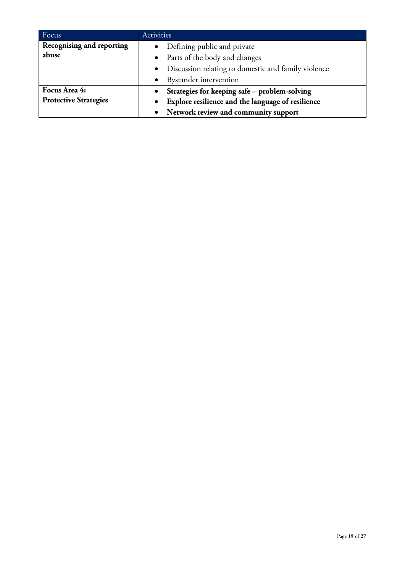| Focus                        | Activities                                            |  |
|------------------------------|-------------------------------------------------------|--|
| Recognising and reporting    | • Defining public and private                         |  |
| abuse                        | • Parts of the body and changes                       |  |
|                              | • Discussion relating to domestic and family violence |  |
|                              | • Bystander intervention                              |  |
| Focus Area 4:                | Strategies for keeping safe - problem-solving         |  |
| <b>Protective Strategies</b> | Explore resilience and the language of resilience     |  |
|                              | • Network review and community support                |  |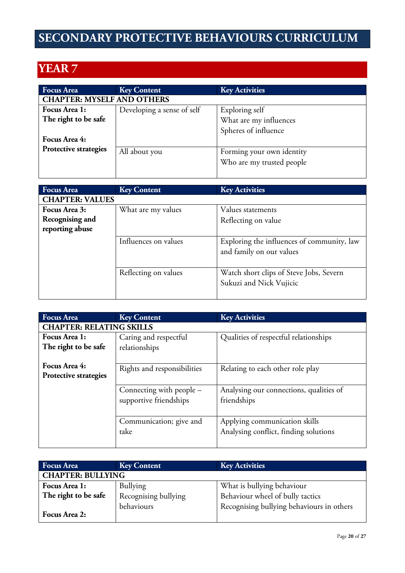# **SECONDARY PROTECTIVE BEHAVIOURS CURRICULUM**

| <b>Focus Area</b>                 | <b>Key Content</b>         | <b>Key Activities</b>     |
|-----------------------------------|----------------------------|---------------------------|
| <b>CHAPTER: MYSELF AND OTHERS</b> |                            |                           |
| Focus Area 1:                     | Developing a sense of self | Exploring self            |
| The right to be safe              |                            | What are my influences    |
|                                   |                            | Spheres of influence      |
| Focus Area 4:                     |                            |                           |
| <b>Protective strategies</b>      | All about you              | Forming your own identity |
|                                   |                            | Who are my trusted people |
|                                   |                            |                           |

| <b>Focus Area</b>      | <b>Key Content</b>   | <b>Key Activities</b>                                                  |
|------------------------|----------------------|------------------------------------------------------------------------|
| <b>CHAPTER: VALUES</b> |                      |                                                                        |
| Focus Area 3:          | What are my values   | Values statements                                                      |
| Recognising and        |                      | Reflecting on value                                                    |
| reporting abuse        |                      |                                                                        |
|                        | Influences on values | Exploring the influences of community, law<br>and family on our values |
|                        | Reflecting on values | Watch short clips of Steve Jobs, Severn<br>Sukuzi and Nick Vujicic     |

| <b>Focus</b> Area            | <b>Key Content</b>              | <b>Key Activities</b>                   |  |  |
|------------------------------|---------------------------------|-----------------------------------------|--|--|
|                              | <b>CHAPTER: RELATING SKILLS</b> |                                         |  |  |
| Focus Area 1:                | Caring and respectful           | Qualities of respectful relationships   |  |  |
| The right to be safe         | relationships                   |                                         |  |  |
|                              |                                 |                                         |  |  |
| Focus Area 4:                | Rights and responsibilities     | Relating to each other role play        |  |  |
| <b>Protective strategies</b> |                                 |                                         |  |  |
|                              | Connecting with people –        | Analysing our connections, qualities of |  |  |
|                              | supportive friendships          | friendships                             |  |  |
|                              |                                 |                                         |  |  |
|                              | Communication; give and         | Applying communication skills           |  |  |
|                              | take                            | Analysing conflict, finding solutions   |  |  |
|                              |                                 |                                         |  |  |
|                              |                                 |                                         |  |  |

| <b>Focus Area</b>        | <b>Key Content</b>   | <b>Key Activities</b>                     |  |
|--------------------------|----------------------|-------------------------------------------|--|
| <b>CHAPTER: BULLYING</b> |                      |                                           |  |
| Focus Area 1:            | Bullying             | What is bullying behaviour                |  |
| The right to be safe     | Recognising bullying | Behaviour wheel of bully tactics          |  |
|                          | behaviours           | Recognising bullying behaviours in others |  |
| Focus Area 2:            |                      |                                           |  |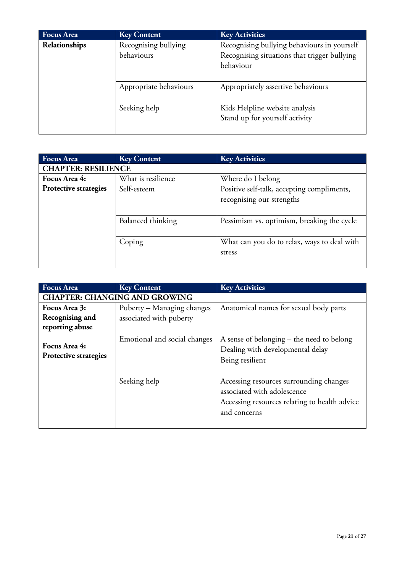| <b>Focus Area</b> | <b>Key Content</b>                 | <b>Key Activities</b>                                                                                    |
|-------------------|------------------------------------|----------------------------------------------------------------------------------------------------------|
| Relationships     | Recognising bullying<br>behaviours | Recognising bullying behaviours in yourself<br>Recognising situations that trigger bullying<br>behaviour |
|                   | Appropriate behaviours             | Appropriately assertive behaviours                                                                       |
|                   | Seeking help                       | Kids Helpline website analysis<br>Stand up for yourself activity                                         |

| <b>Focus Area</b>          | <b>Key Content</b> | <b>Key Activities</b>                       |
|----------------------------|--------------------|---------------------------------------------|
| <b>CHAPTER: RESILIENCE</b> |                    |                                             |
| Focus Area 4:              | What is resilience | Where do I belong                           |
| Protective strategies      | Self-esteem        | Positive self-talk, accepting compliments,  |
|                            |                    | recognising our strengths                   |
|                            |                    |                                             |
|                            | Balanced thinking  | Pessimism vs. optimism, breaking the cycle  |
|                            |                    |                                             |
|                            | Coping             | What can you do to relax, ways to deal with |
|                            |                    | stress                                      |
|                            |                    |                                             |

| <b>Focus Area</b>                      | <b>Key Content</b>                   | <b>Key Activities</b>                                                                                                                   |  |  |
|----------------------------------------|--------------------------------------|-----------------------------------------------------------------------------------------------------------------------------------------|--|--|
|                                        | <b>CHAPTER: CHANGING AND GROWING</b> |                                                                                                                                         |  |  |
| Focus Area 3:                          | Puberty – Managing changes           | Anatomical names for sexual body parts                                                                                                  |  |  |
| Recognising and                        | associated with puberty              |                                                                                                                                         |  |  |
| reporting abuse                        |                                      |                                                                                                                                         |  |  |
| Focus Area 4:<br>Protective strategies | Emotional and social changes         | A sense of belonging – the need to belong<br>Dealing with developmental delay<br>Being resilient                                        |  |  |
|                                        | Seeking help                         | Accessing resources surrounding changes<br>associated with adolescence<br>Accessing resources relating to health advice<br>and concerns |  |  |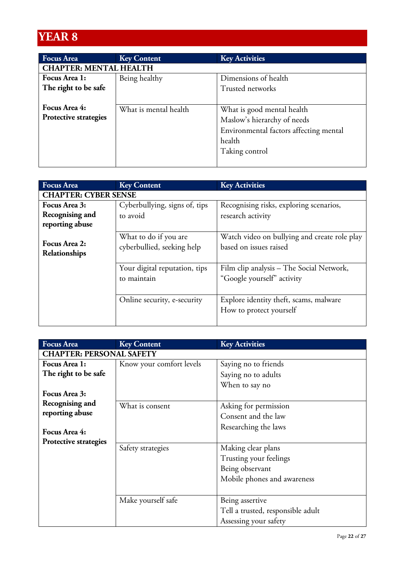| <b>Focus Area</b>             | <b>Key Content</b>    | <b>Key Activities</b>                  |
|-------------------------------|-----------------------|----------------------------------------|
| <b>CHAPTER: MENTAL HEALTH</b> |                       |                                        |
| Focus Area 1:                 | Being healthy         | Dimensions of health                   |
| The right to be safe          |                       | Trusted networks                       |
|                               |                       |                                        |
| Focus Area 4:                 | What is mental health | What is good mental health             |
| Protective strategies         |                       | Maslow's hierarchy of needs            |
|                               |                       | Environmental factors affecting mental |
|                               |                       | health                                 |
|                               |                       | Taking control                         |
|                               |                       |                                        |

| <b>Focus Area</b>           | <b>Key Content</b>            | <b>Key Activities</b>                                             |
|-----------------------------|-------------------------------|-------------------------------------------------------------------|
| <b>CHAPTER: CYBER SENSE</b> |                               |                                                                   |
| Focus Area 3:               | Cyberbullying, signs of, tips | Recognising risks, exploring scenarios,                           |
| Recognising and             | to avoid                      | research activity                                                 |
| reporting abuse             |                               |                                                                   |
| Focus Area 2:               | What to do if you are         | Watch video on bullying and create role play                      |
| Relationships               | cyberbullied, seeking help    | based on issues raised                                            |
|                             | Your digital reputation, tips | Film clip analysis – The Social Network,                          |
|                             | to maintain                   | "Google yourself" activity                                        |
|                             | Online security, e-security   | Explore identity theft, scams, malware<br>How to protect yourself |

| <b>Focus Area</b>               | <b>Key Content</b>       | <b>Key Activities</b>             |
|---------------------------------|--------------------------|-----------------------------------|
| <b>CHAPTER: PERSONAL SAFETY</b> |                          |                                   |
| Focus Area 1:                   | Know your comfort levels | Saying no to friends              |
| The right to be safe            |                          | Saying no to adults               |
|                                 |                          | When to say no                    |
| Focus Area 3:                   |                          |                                   |
| Recognising and                 | What is consent          | Asking for permission             |
| reporting abuse                 |                          | Consent and the law               |
|                                 |                          | Researching the laws              |
| Focus Area 4:                   |                          |                                   |
| Protective strategies           | Safety strategies        | Making clear plans                |
|                                 |                          | Trusting your feelings            |
|                                 |                          | Being observant                   |
|                                 |                          | Mobile phones and awareness       |
|                                 |                          |                                   |
|                                 | Make yourself safe       | Being assertive                   |
|                                 |                          | Tell a trusted, responsible adult |
|                                 |                          | Assessing your safety             |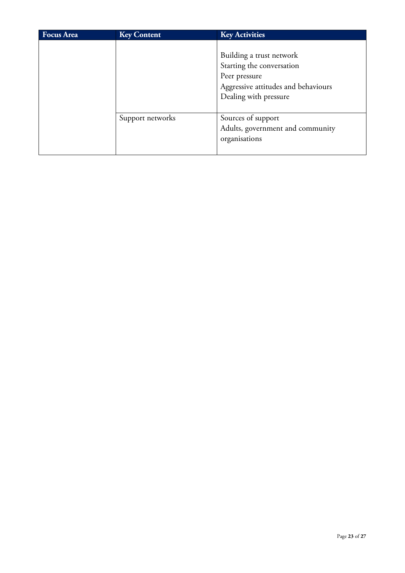| <b>Focus Area</b> | <b>Key Content</b> | <b>Key Activities</b>                                                                                                                  |
|-------------------|--------------------|----------------------------------------------------------------------------------------------------------------------------------------|
|                   |                    | Building a trust network<br>Starting the conversation<br>Peer pressure<br>Aggressive attitudes and behaviours<br>Dealing with pressure |
|                   | Support networks   | Sources of support<br>Adults, government and community<br>organisations                                                                |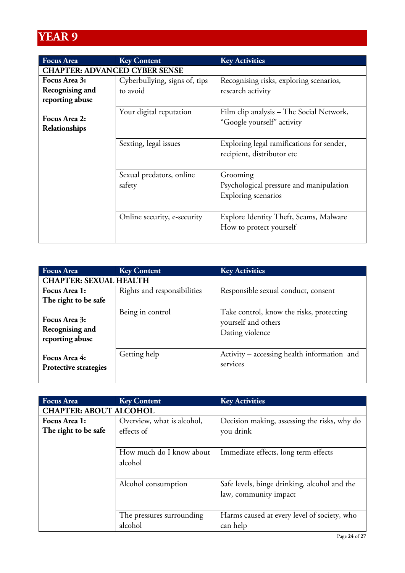| <b>Focus Area</b>                    | <b>Key Content</b>                 | <b>Key Activities</b>                                                      |
|--------------------------------------|------------------------------------|----------------------------------------------------------------------------|
| <b>CHAPTER: ADVANCED CYBER SENSE</b> |                                    |                                                                            |
| Focus Area 3:                        | Cyberbullying, signs of, tips      | Recognising risks, exploring scenarios,                                    |
| Recognising and                      | to avoid                           | research activity                                                          |
| reporting abuse                      |                                    |                                                                            |
| Focus Area 2:<br>Relationships       | Your digital reputation            | Film clip analysis – The Social Network,<br>"Google yourself" activity     |
|                                      | Sexting, legal issues              | Exploring legal ramifications for sender,<br>recipient, distributor etc    |
|                                      | Sexual predators, online<br>safety | Grooming<br>Psychological pressure and manipulation<br>Exploring scenarios |
|                                      | Online security, e-security        | Explore Identity Theft, Scams, Malware<br>How to protect yourself          |

| <b>Focus Area</b>                                   | <b>Key Content</b>          | <b>Key Activities</b>                                                              |
|-----------------------------------------------------|-----------------------------|------------------------------------------------------------------------------------|
| <b>CHAPTER: SEXUAL HEALTH</b>                       |                             |                                                                                    |
| Focus Area 1:                                       | Rights and responsibilities | Responsible sexual conduct, consent                                                |
| The right to be safe                                |                             |                                                                                    |
| Focus Area 3:<br>Recognising and<br>reporting abuse | Being in control            | Take control, know the risks, protecting<br>yourself and others<br>Dating violence |
| Focus Area 4:<br>Protective strategies              | Getting help                | Activity – accessing health information and<br>services                            |

| <b>Focus Area</b>             | <b>Key Content</b>         | <b>Key Activities</b>                        |
|-------------------------------|----------------------------|----------------------------------------------|
| <b>CHAPTER: ABOUT ALCOHOL</b> |                            |                                              |
| Focus Area 1:                 | Overview, what is alcohol, | Decision making, assessing the risks, why do |
| The right to be safe          | effects of                 | you drink                                    |
|                               |                            |                                              |
|                               | How much do I know about   | Immediate effects, long term effects         |
|                               | alcohol                    |                                              |
|                               |                            |                                              |
|                               | Alcohol consumption        | Safe levels, binge drinking, alcohol and the |
|                               |                            | law, community impact                        |
|                               |                            |                                              |
|                               | The pressures surrounding  | Harms caused at every level of society, who  |
|                               | alcohol                    | can help                                     |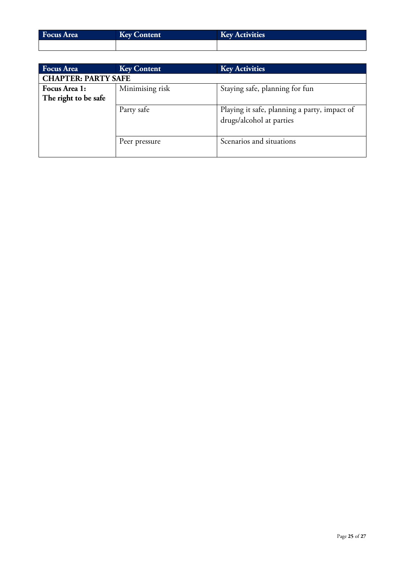| <b>Focus Area</b> | <b>Key Content</b> | <b>Key Activities</b> |
|-------------------|--------------------|-----------------------|
|                   |                    |                       |

| <b>Focus Area</b>                     | <b>Key Content</b> | <b>Key Activities</b>                                                    |
|---------------------------------------|--------------------|--------------------------------------------------------------------------|
| <b>CHAPTER: PARTY SAFE</b>            |                    |                                                                          |
| Focus Area 1:<br>The right to be safe | Minimising risk    | Staying safe, planning for fun                                           |
|                                       | Party safe         | Playing it safe, planning a party, impact of<br>drugs/alcohol at parties |
|                                       | Peer pressure      | Scenarios and situations                                                 |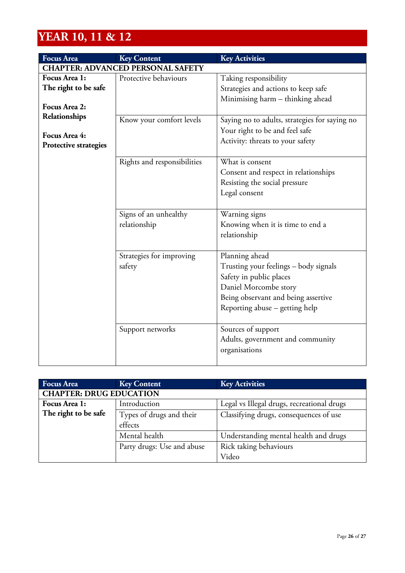# **YEAR 10, 11 & 12**

| <b>Focus Area</b>                                       | <b>Key Content</b>                       | <b>Key Activities</b>                                                                                                                                                                |
|---------------------------------------------------------|------------------------------------------|--------------------------------------------------------------------------------------------------------------------------------------------------------------------------------------|
|                                                         | <b>CHAPTER: ADVANCED PERSONAL SAFETY</b> |                                                                                                                                                                                      |
| Focus Area 1:<br>The right to be safe<br>Focus Area 2:  | Protective behaviours                    | Taking responsibility<br>Strategies and actions to keep safe<br>Minimising harm - thinking ahead                                                                                     |
| Relationships<br>Focus Area 4:<br>Protective strategies | Know your comfort levels                 | Saying no to adults, strategies for saying no<br>Your right to be and feel safe<br>Activity: threats to your safety                                                                  |
|                                                         | Rights and responsibilities              | What is consent<br>Consent and respect in relationships<br>Resisting the social pressure<br>Legal consent                                                                            |
|                                                         | Signs of an unhealthy<br>relationship    | Warning signs<br>Knowing when it is time to end a<br>relationship                                                                                                                    |
|                                                         | Strategies for improving<br>safety       | Planning ahead<br>Trusting your feelings - body signals<br>Safety in public places<br>Daniel Morcombe story<br>Being observant and being assertive<br>Reporting abuse - getting help |
|                                                         | Support networks                         | Sources of support<br>Adults, government and community<br>organisations                                                                                                              |

| <b>Focus Area</b>    | <b>Key Content</b>             | <b>Key Activities</b>                      |  |
|----------------------|--------------------------------|--------------------------------------------|--|
|                      | <b>CHAPTER: DRUG EDUCATION</b> |                                            |  |
| Focus Area 1:        | Introduction                   | Legal vs Illegal drugs, recreational drugs |  |
| The right to be safe | Types of drugs and their       | Classifying drugs, consequences of use     |  |
|                      | effects                        |                                            |  |
|                      | Mental health                  | Understanding mental health and drugs      |  |
|                      | Party drugs: Use and abuse     | Rick taking behaviours                     |  |
|                      |                                | Video                                      |  |